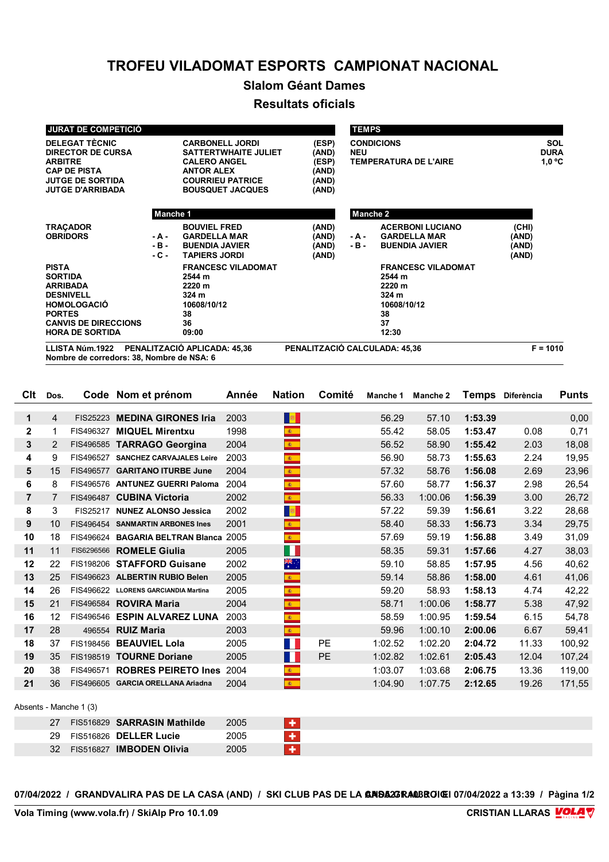## **TROFEU VILADOMAT ESPORTS CAMPIONAT NACIONAL**

## **Slalom Géant Dames**

## **Resultats oficials**

| <b>JURAT DE COMPETICIÓ</b>                                                                                                                       |                         |                                                                                                                                                         |                                                    | <b>TEMPS</b>                                                    |                                                                                   |                                  |                                |
|--------------------------------------------------------------------------------------------------------------------------------------------------|-------------------------|---------------------------------------------------------------------------------------------------------------------------------------------------------|----------------------------------------------------|-----------------------------------------------------------------|-----------------------------------------------------------------------------------|----------------------------------|--------------------------------|
| <b>DELEGAT TÈCNIC</b><br><b>DIRECTOR DE CURSA</b><br><b>ARBITRE</b><br><b>CAP DE PISTA</b><br><b>JUTGE DE SORTIDA</b><br><b>JUTGE D'ARRIBADA</b> |                         | <b>CARBONELL JORDI</b><br><b>SATTERTWHAITE JULIET</b><br><b>CALERO ANGEL</b><br><b>ANTOR ALEX</b><br><b>COURRIEU PATRICE</b><br><b>BOUSQUET JACQUES</b> | (ESP)<br>(AND)<br>(ESP)<br>(AND)<br>(AND)<br>(AND) | <b>CONDICIONS</b><br><b>NEU</b><br><b>TEMPERATURA DE L'AIRE</b> |                                                                                   |                                  | SOL<br><b>DURA</b><br>$1,0$ °C |
| Manche 1                                                                                                                                         |                         |                                                                                                                                                         |                                                    | <b>Manche 2</b>                                                 |                                                                                   |                                  |                                |
| <b>TRACADOR</b><br><b>OBRIDORS</b>                                                                                                               | - A -<br>- B -<br>- C - | <b>BOUVIEL FRED</b><br><b>GARDELLA MAR</b><br><b>BUENDIA JAVIER</b><br><b>TAPIERS JORDI</b>                                                             | (AND)<br>(AND)<br>(AND)<br>(AND)                   | - A -<br>$-B -$                                                 | <b>ACERBONI LUCIANO</b><br><b>GARDELLA MAR</b><br><b>BUENDIA JAVIER</b>           | (CHI)<br>(AND)<br>(AND)<br>(AND) |                                |
| <b>PISTA</b><br><b>SORTIDA</b><br><b>ARRIBADA</b><br><b>DESNIVELL</b><br><b>HOMOLOGACIÓ</b><br><b>PORTES</b><br><b>CANVIS DE DIRECCIONS</b>      |                         | <b>FRANCESC VILADOMAT</b><br>2544 m<br>2220 m<br>324 m<br>10608/10/12<br>38<br>36                                                                       |                                                    |                                                                 | <b>FRANCESC VILADOMAT</b><br>2544 m<br>2220 m<br>324 m<br>10608/10/12<br>38<br>37 |                                  |                                |
| <b>HORA DE SORTIDA</b><br>LLISTA Núm.1922                                                                                                        |                         | 09:00<br>PENALITZACIÓ APLICADA: 45.36                                                                                                                   | PENALITZACIÓ CALCULADA: 45,36                      |                                                                 | 12:30                                                                             |                                  | $F = 1010$                     |

**Nombre de corredors: 38, Nombre de NSA: 6**

| Clt                    | Dos. |            | Code Nom et prénom                | Année | <b>Nation</b>              | Comité | Manche 1 | Manche 2 | <b>Temps</b> | Diferència | <b>Punts</b> |
|------------------------|------|------------|-----------------------------------|-------|----------------------------|--------|----------|----------|--------------|------------|--------------|
| $\mathbf{1}$           | 4    | FIS25223   | <b>MEDINA GIRONES Iria</b>        | 2003  | $\mathbb{R}^n$             |        | 56.29    | 57.10    | 1:53.39      |            | 0,00         |
| $\mathbf{2}$           | 1    | FIS496327  | <b>MIQUEL Mirentxu</b>            | 1998  | $\mathbf{k}$               |        | 55.42    | 58.05    | 1:53.47      | 0.08       | 0,71         |
| 3                      | 2    |            | FIS496585 TARRAGO Georgina        | 2004  | $\bullet$                  |        | 56.52    | 58.90    | 1:55.42      | 2.03       | 18,08        |
| 4                      | 9    | FIS496527  | <b>SANCHEZ CARVAJALES Leire</b>   | 2003  | $\mathbf{A}$               |        | 56.90    | 58.73    | 1:55.63      | 2.24       | 19,95        |
| 5                      | 15   |            | FIS496577 GARITANO ITURBE June    | 2004  | $\mathbb{R}^+$             |        | 57.32    | 58.76    | 1:56.08      | 2.69       | 23,96        |
| 6                      | 8    |            | FIS496576 ANTUNEZ GUERRI Paloma   | 2004  | $\mathbf{R}^{\pm}$         |        | 57.60    | 58.77    | 1:56.37      | 2.98       | 26,54        |
| $\overline{7}$         | 7    | FIS496487  | <b>CUBINA Victoria</b>            | 2002  | $\mathcal{R}^{\text{max}}$ |        | 56.33    | 1:00.06  | 1:56.39      | 3.00       | 26,72        |
| 8                      | 3    | FIS25217   | <b>NUNEZ ALONSO Jessica</b>       | 2002  | <b>B</b>                   |        | 57.22    | 59.39    | 1:56.61      | 3.22       | 28,68        |
| 9                      | 10   |            | FIS496454 SANMARTIN ARBONES Ines  | 2001  | $\bullet$                  |        | 58.40    | 58.33    | 1:56.73      | 3.34       | 29,75        |
| 10                     | 18   |            | FIS496624 BAGARIA BELTRAN Blanca  | 2005  |                            |        | 57.69    | 59.19    | 1:56.88      | 3.49       | 31,09        |
| 11                     | 11   | FIS6296566 | <b>ROMELE Giulia</b>              | 2005  | M.                         |        | 58.35    | 59.31    | 1:57.66      | 4.27       | 38,03        |
| 12                     | 22   | FIS198206  | <b>STAFFORD Guisane</b>           | 2002  | $\frac{316}{16}$           |        | 59.10    | 58.85    | 1:57.95      | 4.56       | 40,62        |
| 13                     | 25   |            | FIS496623 ALBERTIN RUBIO Belen    | 2005  | $\mathbf{R}$               |        | 59.14    | 58.86    | 1:58.00      | 4.61       | 41,06        |
| 14                     | 26   | FIS496622  | <b>LLORENS GARCIANDIA Martina</b> | 2005  | $\mathbf{A}$               |        | 59.20    | 58.93    | 1:58.13      | 4.74       | 42,22        |
| 15                     | 21   |            | FIS496584 ROVIRA Maria            | 2004  | $\bullet$                  |        | 58.71    | 1:00.06  | 1:58.77      | 5.38       | 47,92        |
| 16                     | 12   | FIS496546  | <b>ESPIN ALVAREZ LUNA</b>         | 2003  | $\frac{1}{2}$              |        | 58.59    | 1:00.95  | 1:59.54      | 6.15       | 54,78        |
| 17                     | 28   | 496554     | <b>RUIZ Maria</b>                 | 2003  | $\frac{1}{\sqrt{3}}$       |        | 59.96    | 1:00.10  | 2:00.06      | 6.67       | 59,41        |
| 18                     | 37   | FIS198456  | <b>BEAUVIEL Lola</b>              | 2005  | $\sim$                     | PE     | 1:02.52  | 1:02.20  | 2:04.72      | 11.33      | 100,92       |
| 19                     | 35   | FIS198519  | <b>TOURNE Doriane</b>             | 2005  | $\mathcal{L}^{\text{max}}$ | PE     | 1:02.82  | 1:02.61  | 2:05.43      | 12.04      | 107,24       |
| 20                     | 38   | FIS496571  | <b>ROBRES PEIRETO Ines</b>        | 2004  | $\mathbf{A}$ .             |        | 1:03.07  | 1:03.68  | 2:06.75      | 13.36      | 119,00       |
| 21                     | 36   | FIS496605  | <b>GARCIA ORELLANA Ariadna</b>    | 2004  | $\mathcal{R}^{\pm}$        |        | 1:04.90  | 1:07.75  | 2:12.65      | 19.26      | 171,55       |
| Absents - Manche 1 (3) |      |            |                                   |       |                            |        |          |          |              |            |              |
|                        | 27   | FIS516829  | <b>SARRASIN Mathilde</b>          | 2005  | ٠                          |        |          |          |              |            |              |
|                        |      |            |                                   |       |                            |        |          |          |              |            |              |

| 29 |           | FIS516826 DELLER Lucie | 2005 |  |
|----|-----------|------------------------|------|--|
| 32 | FIS516827 | <b>IMBODEN Olivia</b>  | 2005 |  |

07/04/2022 / GRANDVALIRA PAS DE LA CASA (AND) / SKI CLUB PAS DE LA **GRISA37RAOBROIGI** 07/04/2022 a 13:39 / Pàgina 1/2